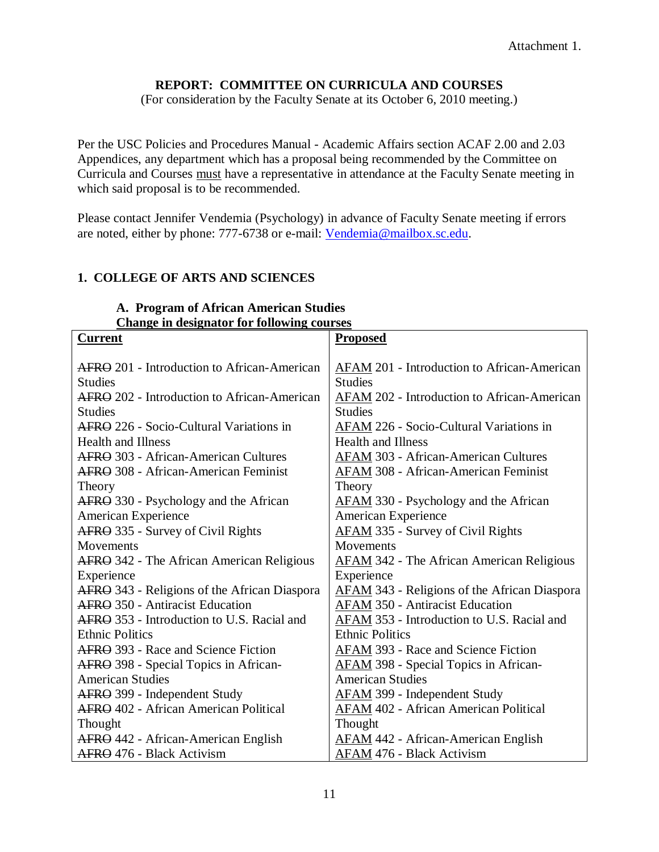# **REPORT: COMMITTEE ON CURRICULA AND COURSES**

(For consideration by the Faculty Senate at its October 6, 2010 meeting.)

Per the USC Policies and Procedures Manual - Academic Affairs section ACAF 2.00 and 2.03 Appendices, any department which has a proposal being recommended by the Committee on Curricula and Courses must have a representative in attendance at the Faculty Senate meeting in which said proposal is to be recommended.

Please contact Jennifer Vendemia (Psychology) in advance of Faculty Senate meeting if errors are noted, either by phone: 777-6738 or e-mail: [Vendemia@mailbox.sc.edu.](mailto:Vendemia@mailbox.sc.edu)

# **1. COLLEGE OF ARTS AND SCIENCES**

#### **A. Program of African American Studies Change in designator for following courses**

| <b>Current</b>                                     | <b>Proposed</b>                                     |  |
|----------------------------------------------------|-----------------------------------------------------|--|
|                                                    |                                                     |  |
| <b>AFRO</b> 201 - Introduction to African-American | AFAM 201 - Introduction to African-American         |  |
| <b>Studies</b>                                     | <b>Studies</b>                                      |  |
| AFRO 202 - Introduction to African-American        | AFAM 202 - Introduction to African-American         |  |
| <b>Studies</b>                                     | <b>Studies</b>                                      |  |
| AFRO 226 - Socio-Cultural Variations in            | AFAM 226 - Socio-Cultural Variations in             |  |
| <b>Health and Illness</b>                          | <b>Health and Illness</b>                           |  |
| <b>AFRO</b> 303 - African-American Cultures        | <b>AFAM 303 - African-American Cultures</b>         |  |
| <b>AFRO</b> 308 - African-American Feminist        | <b>AFAM 308 - African-American Feminist</b>         |  |
| Theory                                             | Theory                                              |  |
| AFRO 330 - Psychology and the African              | <b>AFAM</b> 330 - Psychology and the African        |  |
| American Experience                                | American Experience                                 |  |
| AFRO 335 - Survey of Civil Rights                  | <b>AFAM 335 - Survey of Civil Rights</b>            |  |
| Movements                                          | Movements                                           |  |
| AFRO 342 - The African American Religious          | <b>AFAM 342 - The African American Religious</b>    |  |
| Experience                                         | Experience                                          |  |
| AFRO 343 - Religions of the African Diaspora       | <b>AFAM 343 - Religions of the African Diaspora</b> |  |
| <b>AFRO</b> 350 - Antiracist Education             | <b>AFAM 350 - Antiracist Education</b>              |  |
| AFRO 353 - Introduction to U.S. Racial and         | AFAM 353 - Introduction to U.S. Racial and          |  |
| <b>Ethnic Politics</b>                             | <b>Ethnic Politics</b>                              |  |
| AFRO 393 - Race and Science Fiction                | AFAM 393 - Race and Science Fiction                 |  |
| AFRO 398 - Special Topics in African-              | AFAM 398 - Special Topics in African-               |  |
| <b>American Studies</b>                            | <b>American Studies</b>                             |  |
| AFRO 399 - Independent Study                       | <b>AFAM 399 - Independent Study</b>                 |  |
| <b>AFRO</b> 402 - African American Political       | <b>AFAM 402 - African American Political</b>        |  |
| Thought                                            | Thought                                             |  |
| AFRO 442 - African-American English                | <b>AFAM 442 - African-American English</b>          |  |
| AFRO 476 - Black Activism                          | AFAM 476 - Black Activism                           |  |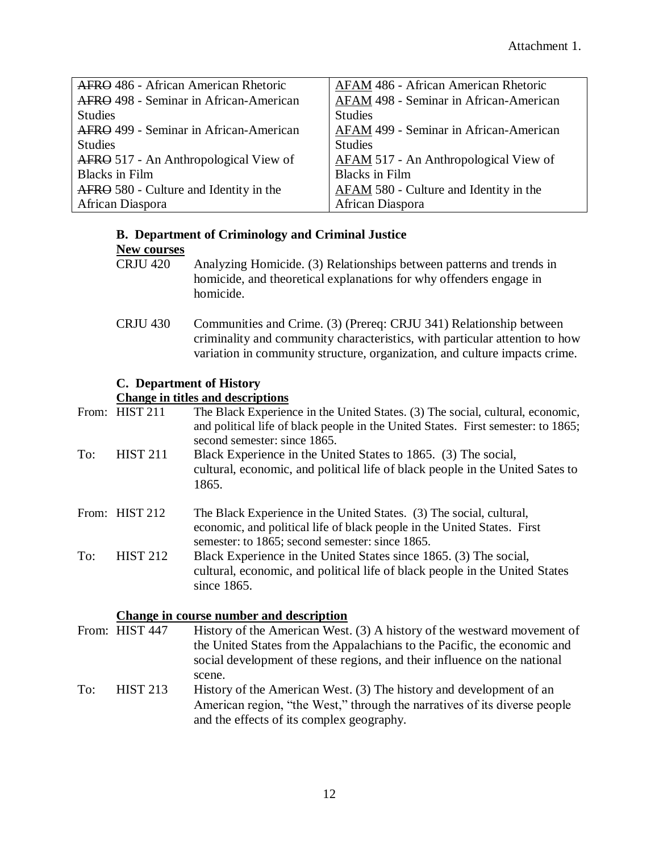| AFRO 486 - African American Rhetoric   | AFAM 486 - African American Rhetoric   |
|----------------------------------------|----------------------------------------|
| AFRO 498 - Seminar in African-American | AFAM 498 - Seminar in African-American |
| <b>Studies</b>                         | <b>Studies</b>                         |
| AFRO 499 - Seminar in African-American | AFAM 499 - Seminar in African-American |
| <b>Studies</b>                         | <b>Studies</b>                         |
| AFRO 517 - An Anthropological View of  | AFAM 517 - An Anthropological View of  |
| <b>Blacks in Film</b>                  | <b>Blacks</b> in Film                  |
| AFRO 580 - Culture and Identity in the | AFAM 580 - Culture and Identity in the |
| African Diaspora                       | African Diaspora                       |

# **B. Department of Criminology and Criminal Justice**

#### **New courses**

- CRJU 420 Analyzing Homicide. (3) Relationships between patterns and trends in homicide, and theoretical explanations for why offenders engage in homicide.
- CRJU 430 Communities and Crime. (3) (Prereq: CRJU 341) Relationship between criminality and community characteristics, with particular attention to how variation in community structure, organization, and culture impacts crime.

# **C. Department of History**

# **Change in titles and descriptions**

|     | From: HIST 211  | The Black Experience in the United States. (3) The social, cultural, economic,<br>and political life of black people in the United States. First semester: to 1865;<br>second semester: since 1865. |
|-----|-----------------|-----------------------------------------------------------------------------------------------------------------------------------------------------------------------------------------------------|
| To: | <b>HIST 211</b> | Black Experience in the United States to 1865. (3) The social,<br>cultural, economic, and political life of black people in the United Sates to<br>1865.                                            |
|     | From: HIST 212  | The Black Experience in the United States. (3) The social, cultural,<br>economic, and political life of black people in the United States. First<br>semester: to 1865; second semester: since 1865. |
| To: | <b>HIST 212</b> | Black Experience in the United States since 1865. (3) The social,<br>cultural, economic, and political life of black people in the United States<br>since 1865.                                     |

- **Change in course number and description**<br>From: HIST 447 History of the American West History of the American West.  $(3)$  A history of the westward movement of the United States from the Appalachians to the Pacific, the economic and social development of these regions, and their influence on the national scene. To: HIST 213 History of the American West. (3) The history and development of an
	- American region, "the West," through the narratives of its diverse people and the effects of its complex geography.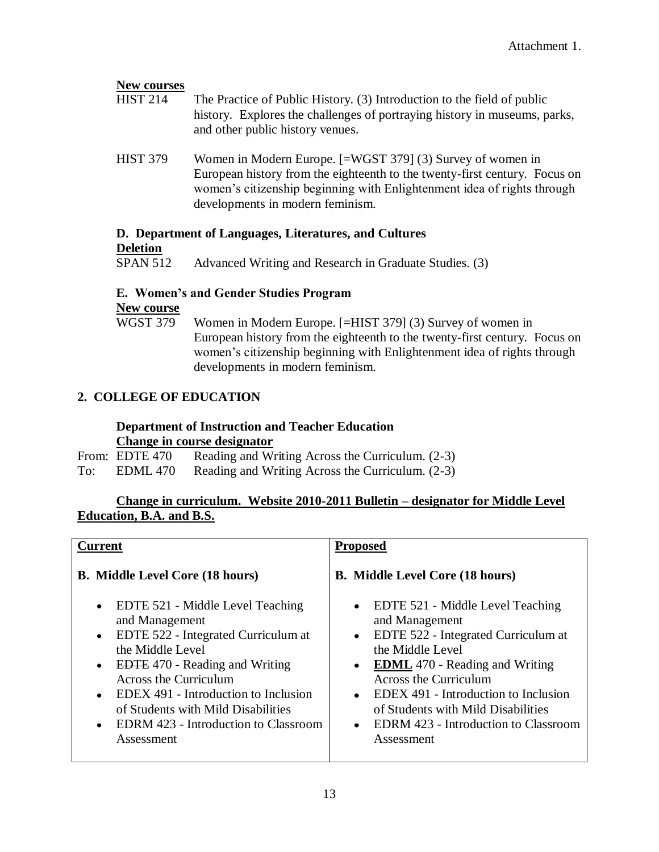# **New courses** HIST 214 The Practice of Public History. (3) Introduction to the field of public history. Explores the challenges of portraying history in museums, parks, and other public history venues. HIST 379 Women in Modern Europe. [=WGST 379] (3) Survey of women in European history from the eighteenth to the twenty-first century. Focus on women's citizenship beginning with Enlightenment idea of rights through developments in modern feminism. **D. Department of Languages, Literatures, and Cultures**

#### **Deletion**

SPAN 512 Advanced Writing and Research in Graduate Studies. (3)

# **E. Women's and Gender Studies Program**

#### **New course**

WGST 379 Women in Modern Europe. [=HIST 379] (3) Survey of women in European history from the eighteenth to the twenty-first century. Focus on women's citizenship beginning with Enlightenment idea of rights through developments in modern feminism.

# **2. COLLEGE OF EDUCATION**

#### **Department of Instruction and Teacher Education Change in course designator**

- From: EDTE 470 Reading and Writing Across the Curriculum. (2-3)
- To: EDML 470 Reading and Writing Across the Curriculum. (2-3)

# **Change in curriculum. Website 2010-2011 Bulletin – designator for Middle Level Education, B.A. and B.S.**

| <b>Current</b><br><b>Proposed</b>                                                                                                                                                                                                                                                                                                                                                                  |                                                                                                                                                                                                                                                                                                                                       |
|----------------------------------------------------------------------------------------------------------------------------------------------------------------------------------------------------------------------------------------------------------------------------------------------------------------------------------------------------------------------------------------------------|---------------------------------------------------------------------------------------------------------------------------------------------------------------------------------------------------------------------------------------------------------------------------------------------------------------------------------------|
| <b>B.</b> Middle Level Core (18 hours)                                                                                                                                                                                                                                                                                                                                                             | <b>B.</b> Middle Level Core (18 hours)                                                                                                                                                                                                                                                                                                |
| EDTE 521 - Middle Level Teaching<br>$\bullet$<br>and Management<br>EDTE 522 - Integrated Curriculum at<br>$\bullet$<br>the Middle Level<br><b>EDTE</b> 470 - Reading and Writing<br>$\bullet$<br><b>Across the Curriculum</b><br>EDEX 491 - Introduction to Inclusion<br>$\bullet$<br>of Students with Mild Disabilities<br><b>EDRM</b> 423 - Introduction to Classroom<br>$\bullet$<br>Assessment | $\bullet$ EDTE 521 - Middle Level Teaching<br>and Management<br>• EDTE 522 - Integrated Curriculum at<br>the Middle Level<br>• EDML 470 - Reading and Writing<br><b>Across the Curriculum</b><br>• EDEX 491 - Introduction to Inclusion<br>of Students with Mild Disabilities<br>• EDRM 423 - Introduction to Classroom<br>Assessment |